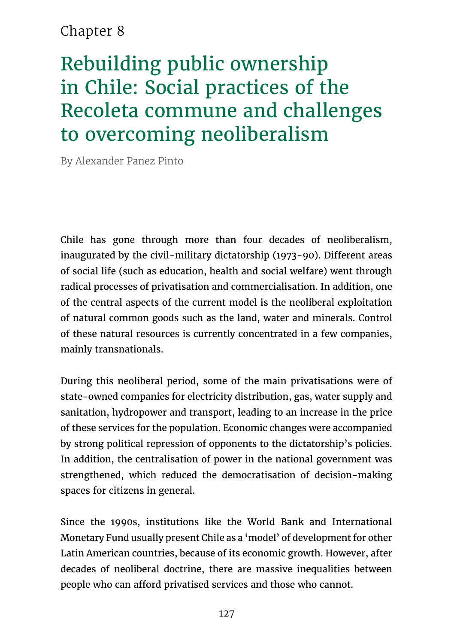# Chapter 8

# Rebuilding public ownership in Chile: Social practices of the Recoleta commune and challenges to overcoming neoliberalism

By Alexander Panez Pinto

Chile has gone through more than four decades of neoliberalism, inaugurated by the civil-military dictatorship (1973-90). Different areas of social life (such as education, health and social welfare) went through radical processes of privatisation and commercialisation. In addition, one of the central aspects of the current model is the neoliberal exploitation of natural common goods such as the land, water and minerals. Control of these natural resources is currently concentrated in a few companies, mainly transnationals.

During this neoliberal period, some of the main privatisations were of state-owned companies for electricity distribution, gas, water supply and sanitation, hydropower and transport, leading to an increase in the price of these services for the population. Economic changes were accompanied by strong political repression of opponents to the dictatorship's policies. In addition, the centralisation of power in the national government was strengthened, which reduced the democratisation of decision-making spaces for citizens in general.

Since the 1990s, institutions like the World Bank and International Monetary Fund usually present Chile as a 'model' of development for other Latin American countries, because of its economic growth. However, after decades of neoliberal doctrine, there are massive inequalities between people who can afford privatised services and those who cannot.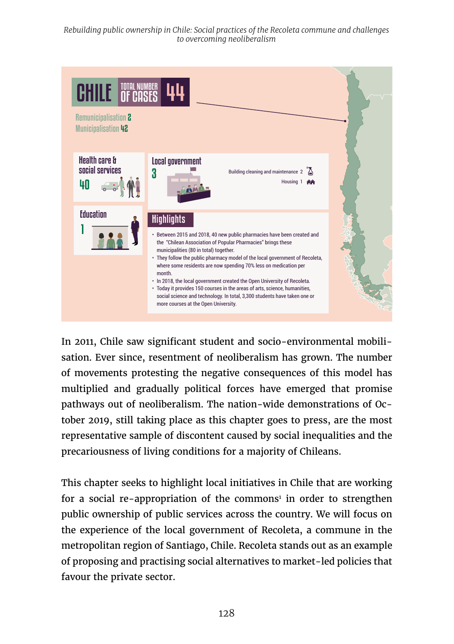*Rebuilding public ownership in Chile: Social practices of the Recoleta commune and challenges to overcoming neoliberalism*



In 2011, Chile saw significant student and socio-environmental mobilisation. Ever since, resentment of neoliberalism has grown. The number of movements protesting the negative consequences of this model has multiplied and gradually political forces have emerged that promise pathways out of neoliberalism. The nation-wide demonstrations of October 2019, still taking place as this chapter goes to press, are the most representative sample of discontent caused by social inequalities and the precariousness of living conditions for a majority of Chileans.

This chapter seeks to highlight local initiatives in Chile that are working for a social re-appropriation of the commons<sup>1</sup> in order to strengthen public ownership of public services across the country. We will focus on the experience of the local government of Recoleta, a commune in the metropolitan region of Santiago, Chile. Recoleta stands out as an example of proposing and practising social alternatives to market-led policies that favour the private sector.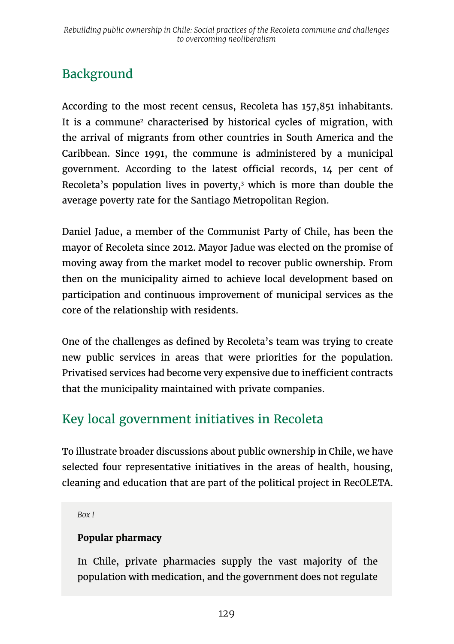# Background

According to the most recent census, Recoleta has 157,851 inhabitants. It is a commune<sup>2</sup> characterised by historical cycles of migration, with the arrival of migrants from other countries in South America and the Caribbean. Since 1991, the commune is administered by a municipal government. According to the latest official records, 14 per cent of Recoleta's population lives in poverty,3 which is more than double the average poverty rate for the Santiago Metropolitan Region.

Daniel Jadue, a member of the Communist Party of Chile, has been the mayor of Recoleta since 2012. Mayor Jadue was elected on the promise of moving away from the market model to recover public ownership. From then on the municipality aimed to achieve local development based on participation and continuous improvement of municipal services as the core of the relationship with residents.

One of the challenges as defined by Recoleta's team was trying to create new public services in areas that were priorities for the population. Privatised services had become very expensive due to inefficient contracts that the municipality maintained with private companies.

# Key local government initiatives in Recoleta

To illustrate broader discussions about public ownership in Chile, we have selected four representative initiatives in the areas of health, housing, cleaning and education that are part of the political project in RecOLETA.

*Box I*

#### **Popular pharmacy**

In Chile, private pharmacies supply the vast majority of the population with medication, and the government does not regulate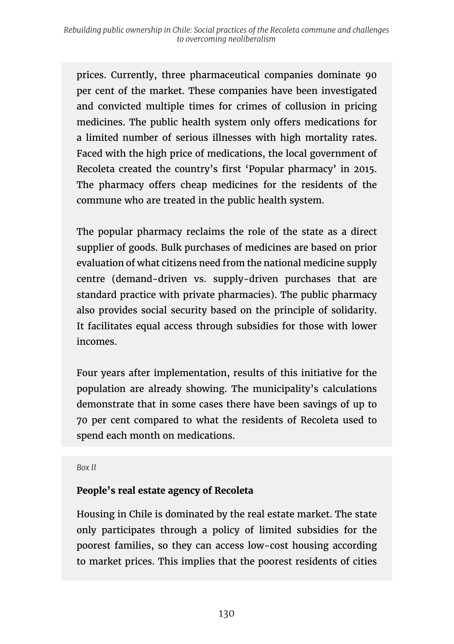prices. Currently, three pharmaceutical companies dominate 90 per cent of the market. These companies have been investigated and convicted multiple times for crimes of collusion in pricing medicines. The public health system only offers medications for a limited number of serious illnesses with high mortality rates. Faced with the high price of medications, the local government of Recoleta created the country's first 'Popular pharmacy' in 2015. The pharmacy offers cheap medicines for the residents of the commune who are treated in the public health system.

The popular pharmacy reclaims the role of the state as a direct supplier of goods. Bulk purchases of medicines are based on prior evaluation of what citizens need from the national medicine supply centre (demand-driven vs. supply-driven purchases that are standard practice with private pharmacies). The public pharmacy also provides social security based on the principle of solidarity. It facilitates equal access through subsidies for those with lower incomes.

Four years after implementation, results of this initiative for the population are already showing. The municipality's calculations demonstrate that in some cases there have been savings of up to 70 per cent compared to what the residents of Recoleta used to spend each month on medications.

*Box II*

#### **People's real estate agency of Recoleta**

Housing in Chile is dominated by the real estate market. The state only participates through a policy of limited subsidies for the poorest families, so they can access low-cost housing according to market prices. This implies that the poorest residents of cities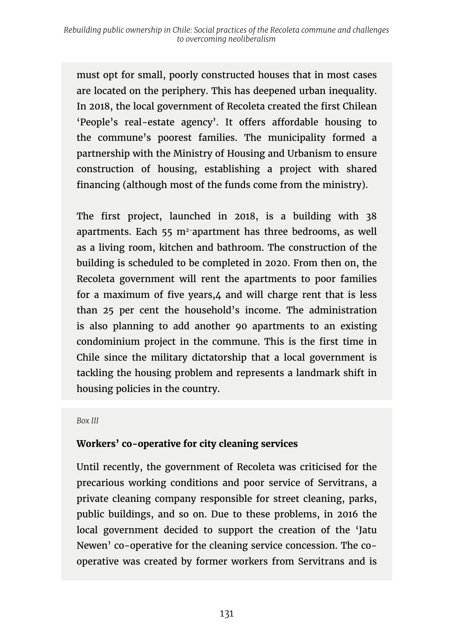must opt for small, poorly constructed houses that in most cases are located on the periphery. This has deepened urban inequality. In 2018, the local government of Recoleta created the first Chilean 'People's real-estate agency'. It offers affordable housing to the commune's poorest families. The municipality formed a partnership with the Ministry of Housing and Urbanism to ensure construction of housing, establishing a project with shared financing (although most of the funds come from the ministry).

The first project, launched in 2018, is a building with 38 apartments. Each 55 m2-apartment has three bedrooms, as well as a living room, kitchen and bathroom. The construction of the building is scheduled to be completed in 2020. From then on, the Recoleta government will rent the apartments to poor families for a maximum of five years,4 and will charge rent that is less than 25 per cent the household's income. The administration is also planning to add another 90 apartments to an existing condominium project in the commune. This is the first time in Chile since the military dictatorship that a local government is tackling the housing problem and represents a landmark shift in housing policies in the country.

#### *Box III*

#### **Workers' co-operative for city cleaning services**

Until recently, the government of Recoleta was criticised for the precarious working conditions and poor service of Servitrans, a private cleaning company responsible for street cleaning, parks, public buildings, and so on. Due to these problems, in 2016 the local government decided to support the creation of the 'Jatu Newen' co-operative for the cleaning service concession. The cooperative was created by former workers from Servitrans and is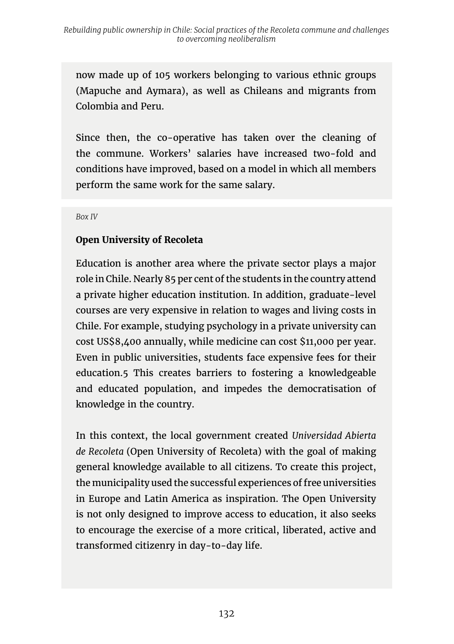now made up of 105 workers belonging to various ethnic groups (Mapuche and Aymara), as well as Chileans and migrants from Colombia and Peru.

Since then, the co-operative has taken over the cleaning of the commune. Workers' salaries have increased two-fold and conditions have improved, based on a model in which all members perform the same work for the same salary.

*Box IV*

#### **Open University of Recoleta**

Education is another area where the private sector plays a major role in Chile. Nearly 85 per cent of the students in the country attend a private higher education institution. In addition, graduate-level courses are very expensive in relation to wages and living costs in Chile. For example, studying psychology in a private university can cost US\$8,400 annually, while medicine can cost \$11,000 per year. Even in public universities, students face expensive fees for their education.5 This creates barriers to fostering a knowledgeable and educated population, and impedes the democratisation of knowledge in the country.

In this context, the local government created *Universidad Abierta de Recoleta* (Open University of Recoleta) with the goal of making general knowledge available to all citizens. To create this project, the municipality used the successful experiences of free universities in Europe and Latin America as inspiration. The Open University is not only designed to improve access to education, it also seeks to encourage the exercise of a more critical, liberated, active and transformed citizenry in day-to-day life.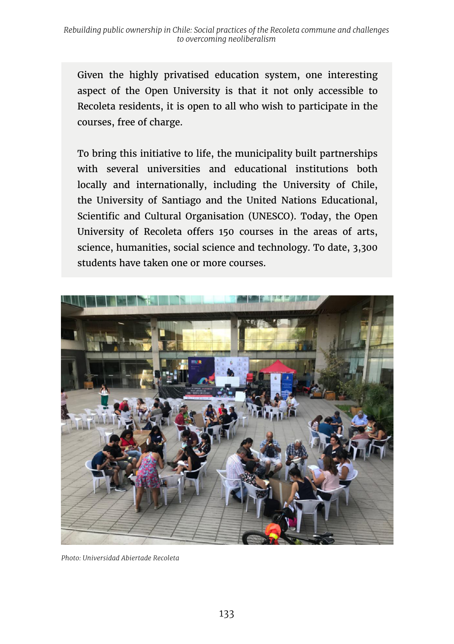Given the highly privatised education system, one interesting aspect of the Open University is that it not only accessible to Recoleta residents, it is open to all who wish to participate in the courses, free of charge.

To bring this initiative to life, the municipality built partnerships with several universities and educational institutions both locally and internationally, including the University of Chile, the University of Santiago and the United Nations Educational, Scientific and Cultural Organisation (UNESCO). Today, the Open University of Recoleta offers 150 courses in the areas of arts, science, humanities, social science and technology. To date, 3,300 students have taken one or more courses.



*Photo: Universidad Abiertade Recoleta*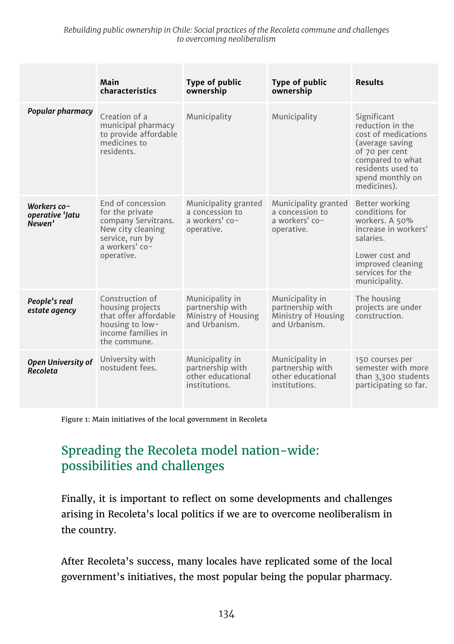*Rebuilding public ownership in Chile: Social practices of the Recoleta commune and challenges to overcoming neoliberalism*

|                                          | Main<br>characteristics                                                                                                             | Type of public<br>ownership                                                 | Type of public<br>ownership                                                 | <b>Results</b>                                                                                                                                                          |
|------------------------------------------|-------------------------------------------------------------------------------------------------------------------------------------|-----------------------------------------------------------------------------|-----------------------------------------------------------------------------|-------------------------------------------------------------------------------------------------------------------------------------------------------------------------|
| Popular pharmacy                         | Creation of a<br>municipal pharmacy<br>to provide affordable<br>medicines to<br>residents.                                          | Municipality                                                                | Municipality                                                                | Significant<br>reduction in the<br>cost of medications<br>(average saving<br>of 70 per cent<br>compared to what<br>residents used to<br>spend monthly on<br>medicines). |
| Workers co-<br>operative 'Jatu<br>Newen' | End of concession<br>for the private<br>company Servitrans.<br>New city cleaning<br>service, run by<br>a workers' co-<br>operative. | Municipality granted<br>a concession to<br>a workers' co-<br>operative.     | Municipality granted<br>a concession to<br>a workers' co-<br>operative.     | Better working<br>conditions for<br>workers. A 50%<br>increase in workers'<br>salaries.<br>Lower cost and<br>improved cleaning<br>services for the<br>municipality.     |
| People's real<br>estate agency           | Construction of<br>housing projects<br>that offer affordable<br>housing to low-<br>income families in<br>the commune.               | Municipality in<br>partnership with<br>Ministry of Housing<br>and Urbanism. | Municipality in<br>partnership with<br>Ministry of Housing<br>and Urbanism. | The housing<br>projects are under<br>construction.                                                                                                                      |
| Open University of<br>Recoleta           | University with<br>nostudent fees.                                                                                                  | Municipality in<br>partnership with<br>other educational<br>institutions.   | Municipality in<br>partnership with<br>other educational<br>institutions.   | 150 courses per<br>semester with more<br>than 3,300 students<br>participating so far.                                                                                   |

Figure 1: Main initiatives of the local government in Recoleta

### Spreading the Recoleta model nation-wide: possibilities and challenges

Finally, it is important to reflect on some developments and challenges arising in Recoleta's local politics if we are to overcome neoliberalism in the country.

After Recoleta's success, many locales have replicated some of the local government's initiatives, the most popular being the popular pharmacy.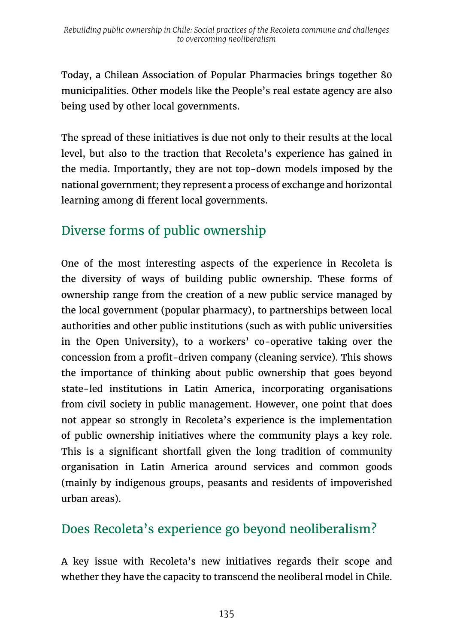Today, a Chilean Association of Popular Pharmacies brings together 80 municipalities. Other models like the People's real estate agency are also being used by other local governments.

The spread of these initiatives is due not only to their results at the local level, but also to the traction that Recoleta's experience has gained in the media. Importantly, they are not top-down models imposed by the national government; they represent a process of exchange and horizontal learning among di fferent local governments.

# Diverse forms of public ownership

One of the most interesting aspects of the experience in Recoleta is the diversity of ways of building public ownership. These forms of ownership range from the creation of a new public service managed by the local government (popular pharmacy), to partnerships between local authorities and other public institutions (such as with public universities in the Open University), to a workers' co-operative taking over the concession from a profit-driven company (cleaning service). This shows the importance of thinking about public ownership that goes beyond state-led institutions in Latin America, incorporating organisations from civil society in public management. However, one point that does not appear so strongly in Recoleta's experience is the implementation of public ownership initiatives where the community plays a key role. This is a significant shortfall given the long tradition of community organisation in Latin America around services and common goods (mainly by indigenous groups, peasants and residents of impoverished urban areas).

# Does Recoleta's experience go beyond neoliberalism?

A key issue with Recoleta's new initiatives regards their scope and whether they have the capacity to transcend the neoliberal model in Chile.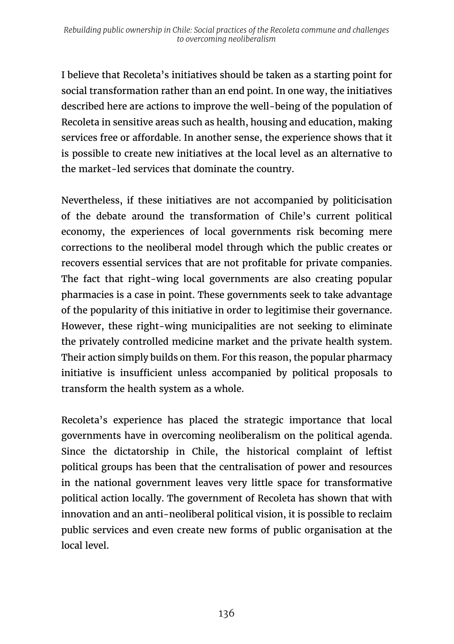I believe that Recoleta's initiatives should be taken as a starting point for social transformation rather than an end point. In one way, the initiatives described here are actions to improve the well-being of the population of Recoleta in sensitive areas such as health, housing and education, making services free or affordable. In another sense, the experience shows that it is possible to create new initiatives at the local level as an alternative to the market-led services that dominate the country.

Nevertheless, if these initiatives are not accompanied by politicisation of the debate around the transformation of Chile's current political economy, the experiences of local governments risk becoming mere corrections to the neoliberal model through which the public creates or recovers essential services that are not profitable for private companies. The fact that right-wing local governments are also creating popular pharmacies is a case in point. These governments seek to take advantage of the popularity of this initiative in order to legitimise their governance. However, these right-wing municipalities are not seeking to eliminate the privately controlled medicine market and the private health system. Their action simply builds on them. For this reason, the popular pharmacy initiative is insufficient unless accompanied by political proposals to transform the health system as a whole.

Recoleta's experience has placed the strategic importance that local governments have in overcoming neoliberalism on the political agenda. Since the dictatorship in Chile, the historical complaint of leftist political groups has been that the centralisation of power and resources in the national government leaves very little space for transformative political action locally. The government of Recoleta has shown that with innovation and an anti-neoliberal political vision, it is possible to reclaim public services and even create new forms of public organisation at the local level.